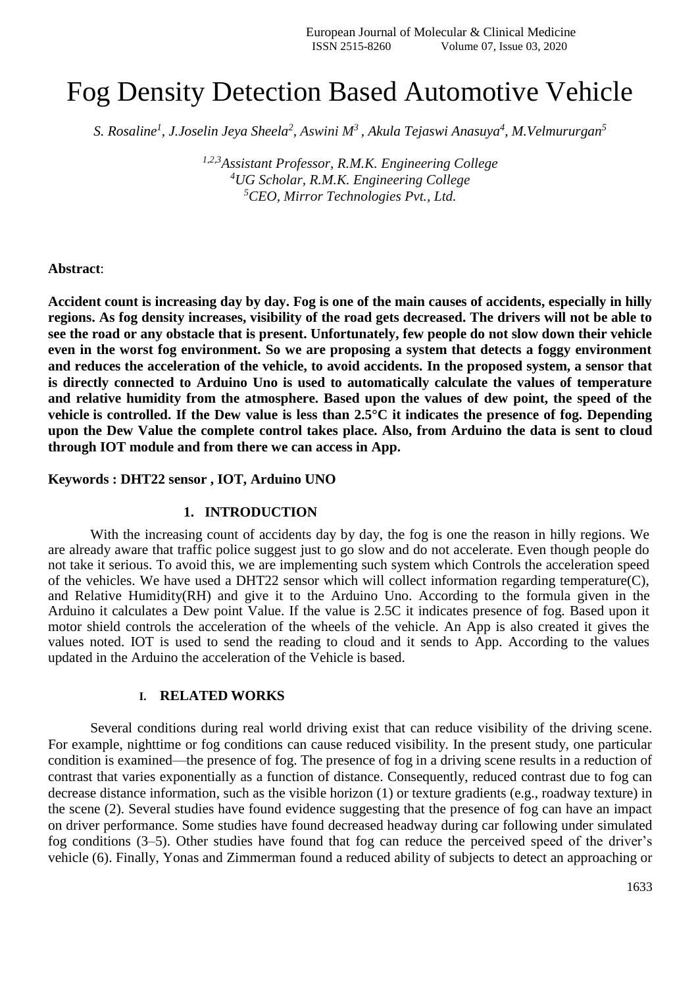# Fog Density Detection Based Automotive Vehicle

*S. Rosaline<sup>1</sup> , J.Joselin Jeya Sheela<sup>2</sup> , Aswini M<sup>3</sup> , Akula Tejaswi Anasuya<sup>4</sup> , M.Velmururgan<sup>5</sup>*

*1,2,3Assistant Professor, R.M.K. Engineering College <sup>4</sup>UG Scholar, R.M.K. Engineering College <sup>5</sup>CEO, Mirror Technologies Pvt., Ltd.*

#### **Abstract**:

**Accident count is increasing day by day. Fog is one of the main causes of accidents, especially in hilly regions. As fog density increases, visibility of the road gets decreased. The drivers will not be able to see the road or any obstacle that is present. Unfortunately, few people do not slow down their vehicle even in the worst fog environment. So we are proposing a system that detects a foggy environment and reduces the acceleration of the vehicle, to avoid accidents. In the proposed system, a sensor that is directly connected to Arduino Uno is used to automatically calculate the values of temperature and relative humidity from the atmosphere. Based upon the values of dew point, the speed of the vehicle is controlled. If the Dew value is less than 2.5°C it indicates the presence of fog. Depending upon the Dew Value the complete control takes place. Also, from Arduino the data is sent to cloud through IOT module and from there we can access in App.**

#### **Keywords : DHT22 sensor , IOT, Arduino UNO**

#### **1. INTRODUCTION**

With the increasing count of accidents day by day, the fog is one the reason in hilly regions. We are already aware that traffic police suggest just to go slow and do not accelerate. Even though people do not take it serious. To avoid this, we are implementing such system which Controls the acceleration speed of the vehicles. We have used a DHT22 sensor which will collect information regarding temperature(C), and Relative Humidity(RH) and give it to the Arduino Uno. According to the formula given in the Arduino it calculates a Dew point Value. If the value is 2.5C it indicates presence of fog. Based upon it motor shield controls the acceleration of the wheels of the vehicle. An App is also created it gives the values noted. IOT is used to send the reading to cloud and it sends to App. According to the values updated in the Arduino the acceleration of the Vehicle is based.

#### **I. RELATED WORKS**

Several conditions during real world driving exist that can reduce visibility of the driving scene. For example, nighttime or fog conditions can cause reduced visibility. In the present study, one particular condition is examined—the presence of fog. The presence of fog in a driving scene results in a reduction of contrast that varies exponentially as a function of distance. Consequently, reduced contrast due to fog can decrease distance information, such as the visible horizon (1) or texture gradients (e.g., roadway texture) in the scene (2). Several studies have found evidence suggesting that the presence of fog can have an impact on driver performance. Some studies have found decreased headway during car following under simulated fog conditions (3–5). Other studies have found that fog can reduce the perceived speed of the driver's vehicle (6). Finally, Yonas and Zimmerman found a reduced ability of subjects to detect an approaching or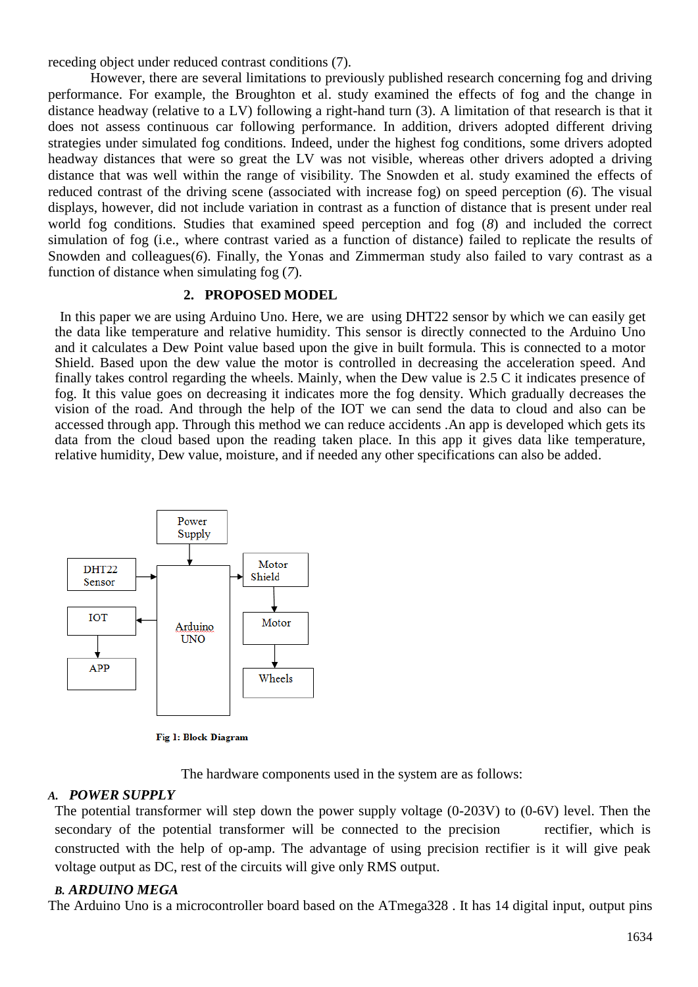receding object under reduced contrast conditions (7).

However, there are several limitations to previously published research concerning fog and driving performance. For example, the Broughton et al. study examined the effects of fog and the change in distance headway (relative to a LV) following a right-hand turn (3). A limitation of that research is that it does not assess continuous car following performance. In addition, drivers adopted different driving strategies under simulated fog conditions. Indeed, under the highest fog conditions, some drivers adopted headway distances that were so great the LV was not visible, whereas other drivers adopted a driving distance that was well within the range of visibility. The Snowden et al. study examined the effects of reduced contrast of the driving scene (associated with increase fog) on speed perception (*6*). The visual displays, however, did not include variation in contrast as a function of distance that is present under real world fog conditions. Studies that examined speed perception and fog (*8*) and included the correct simulation of fog (i.e., where contrast varied as a function of distance) failed to replicate the results of Snowden and colleagues(6). Finally, the Yonas and Zimmerman study also failed to vary contrast as a function of distance when simulating fog (*7*).

## **2. PROPOSED MODEL**

In this paper we are using Arduino Uno. Here, we are using DHT22 sensor by which we can easily get the data like temperature and relative humidity. This sensor is directly connected to the Arduino Uno and it calculates a Dew Point value based upon the give in built formula. This is connected to a motor Shield. Based upon the dew value the motor is controlled in decreasing the acceleration speed. And finally takes control regarding the wheels. Mainly, when the Dew value is 2.5 C it indicates presence of fog. It this value goes on decreasing it indicates more the fog density. Which gradually decreases the vision of the road. And through the help of the IOT we can send the data to cloud and also can be accessed through app. Through this method we can reduce accidents .An app is developed which gets its data from the cloud based upon the reading taken place. In this app it gives data like temperature, relative humidity, Dew value, moisture, and if needed any other specifications can also be added.



Fig 1: Block Diagram

The hardware components used in the system are as follows:

# *A. POWER SUPPLY*

The potential transformer will step down the power supply voltage (0-203V) to (0-6V) level. Then the secondary of the potential transformer will be connected to the precision rectifier, which is constructed with the help of op-amp. The advantage of using precision rectifier is it will give peak voltage output as DC, rest of the circuits will give only RMS output.

# *B. ARDUINO MEGA*

The Arduino Uno is a microcontroller board based on the ATmega328 . It has 14 digital input, output pins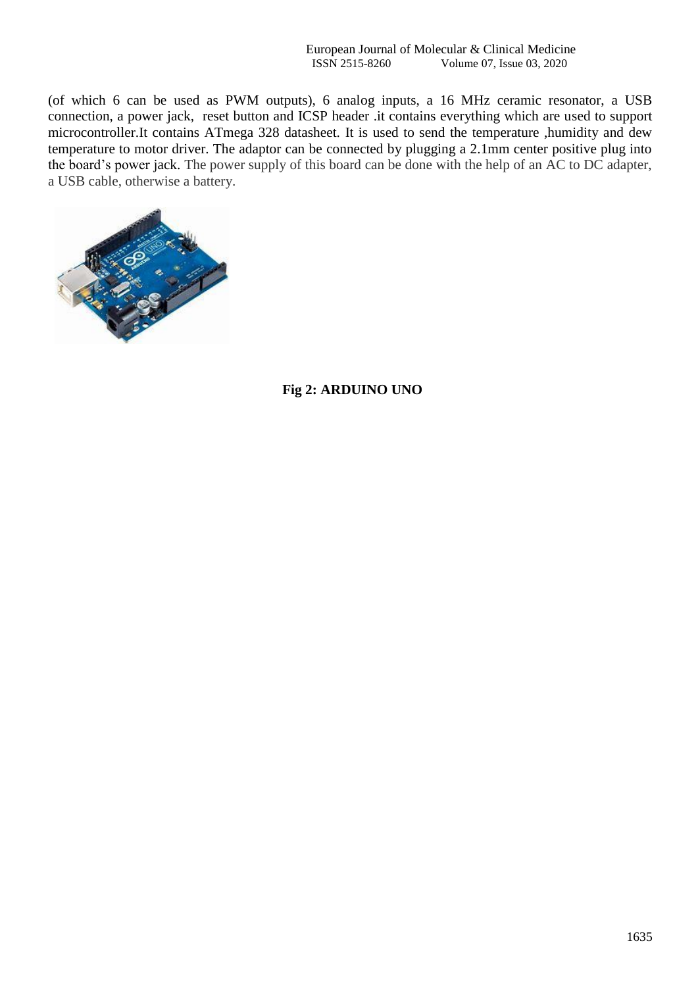(of which 6 can be used as PWM outputs), 6 analog inputs, a 16 MHz ceramic resonator, a USB connection, a power jack, reset button and ICSP header .it contains everything which are used to support microcontroller.It contains ATmega 328 datasheet. It is used to send the temperature ,humidity and dew temperature to motor driver. The adaptor can be connected by plugging a 2.1mm center positive plug into the board's power jack. The power supply of this board can be done with the help of an AC to DC adapter, a USB cable, otherwise a battery.



# **Fig 2: ARDUINO UNO**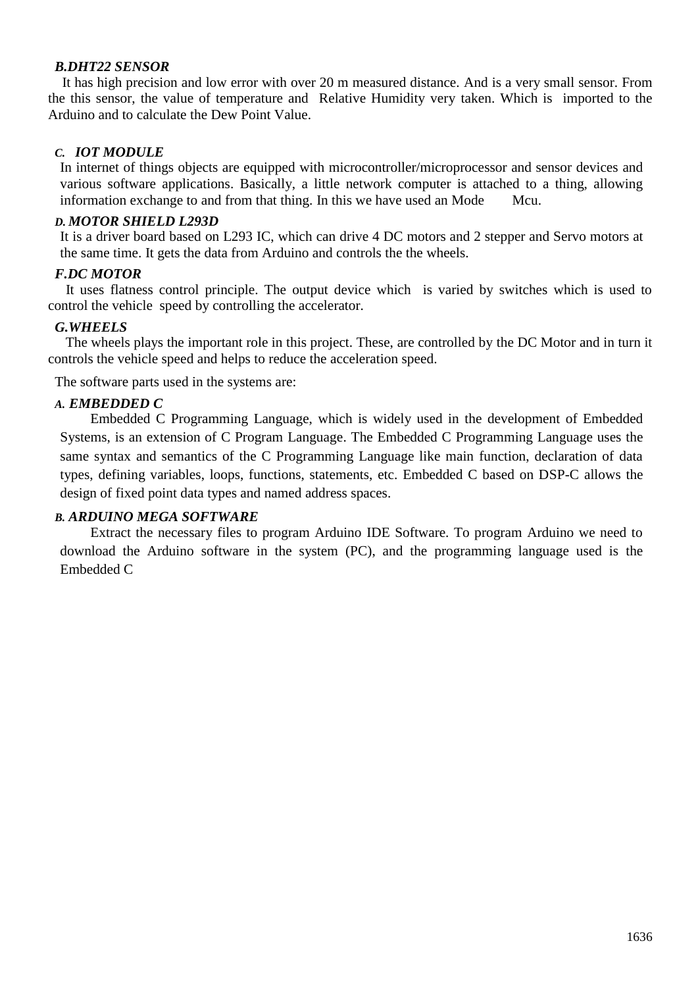## *B.DHT22 SENSOR*

 It has high precision and low error with over 20 m measured distance. And is a very small sensor. From the this sensor, the value of temperature and Relative Humidity very taken. Which is imported to the Arduino and to calculate the Dew Point Value.

## *C. IOT MODULE*

In internet of things objects are equipped with microcontroller/microprocessor and sensor devices and various software applications. Basically, a little network computer is attached to a thing, allowing information exchange to and from that thing. In this we have used an Mode Mcu.

#### *D. MOTOR SHIELD L293D*

It is a driver board based on L293 IC, which can drive 4 DC motors and 2 stepper and Servo motors at the same time. It gets the data from Arduino and controls the the wheels.

## *F.DC MOTOR*

 It uses flatness control principle. The output device which is varied by switches which is used to control the vehicle speed by controlling the accelerator.

#### *G.WHEELS*

 The wheels plays the important role in this project. These, are controlled by the DC Motor and in turn it controls the vehicle speed and helps to reduce the acceleration speed.

The software parts used in the systems are:

#### *A. EMBEDDED C*

Embedded C Programming Language, which is widely used in the development of Embedded Systems, is an extension of C Program Language. The Embedded C Programming Language uses the same syntax and semantics of the C Programming Language like main function, declaration of data types, defining variables, loops, functions, statements, etc. Embedded C based on DSP-C allows the design of fixed point data types and named address spaces.

## *B. ARDUINO MEGA SOFTWARE*

Extract the necessary files to program Arduino IDE Software. To program Arduino we need to download the Arduino software in the system (PC), and the programming language used is the Embedded C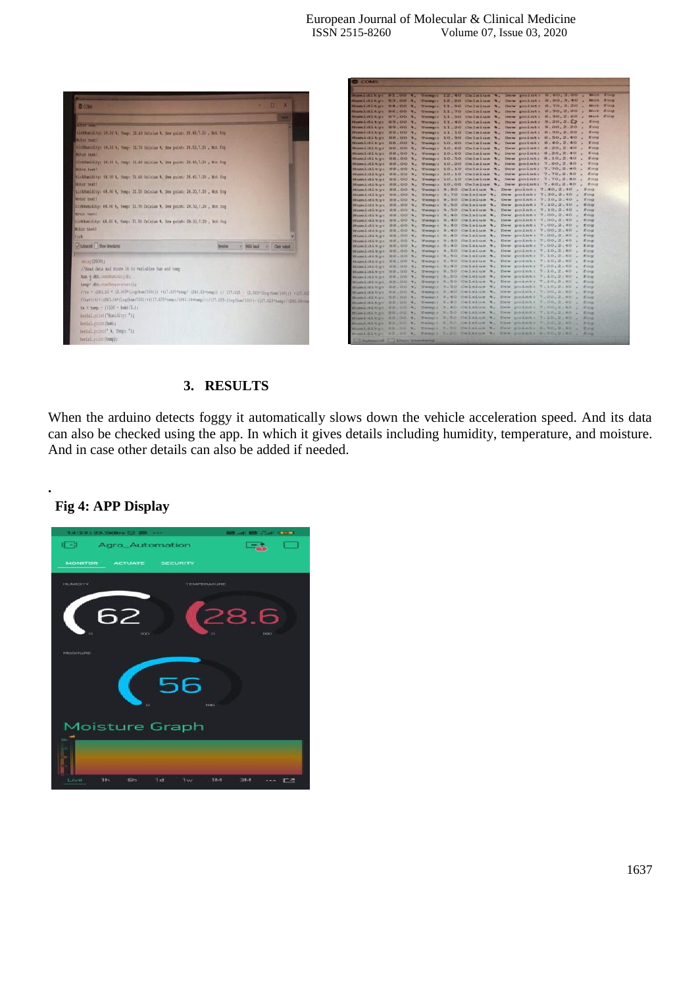

|  |  | Mumicity: 01.00 %, Temp: 12.40 Celsius %, Daw point: 0.60, 1.40 , Not fog                                                                  |
|--|--|--------------------------------------------------------------------------------------------------------------------------------------------|
|  |  | Humidity: 83.00 %, Temp: 12.20 Celmius %, Daw point: 8.80,3.40 , Not fog                                                                   |
|  |  | Humidity: 84.00 %, Temp: 11.50 Celmius %, Dew point: 8.70,3.20 , Not fog                                                                   |
|  |  | Rumidity: RE.00 %, Temp: 11.70 Celsius %, Dew point: 8.90,2.80 , Not fog                                                                   |
|  |  | Humidity: 87.00 %, Temp: 11.50 Celsius %, Dew point: 8.90,2.60 , Not fog                                                                   |
|  |  | mumidity: 89.00 %, Temp: 11.40 Celsius %, Dew point: 9.20,2.22 , fog                                                                       |
|  |  | Humidity: 89.00 %, Temp: 11.20 Celmius %, Dew point: 9.00,2.20 , fog                                                                       |
|  |  | Humidity: 89.00 %, Temp: 11.10 Celsius %, Dew point: 8.90,2.20 , fog                                                                       |
|  |  |                                                                                                                                            |
|  |  | Humidity: 88.00 %, Temp: 10.90 Celsius %, Dew point: 8.50,2.40 , fog                                                                       |
|  |  | Humidity: 88.00 %, Temp: 10.00 Celsius %, Dow point: 8.40,2.40 , fog                                                                       |
|  |  | Humidity: 88.00 %, Temp: 10.60 Celmius %, Dew point: 8.20,2.40 , fog                                                                       |
|  |  | Humidity: 88.00 %, Temp: 10.60 Celmius %, Dew point: 8.20,2.40 , fog                                                                       |
|  |  | Mumidity: 88.00 %, Temp: 10.50 Celsius %, Dew point: 8.10,2.40 , fog                                                                       |
|  |  | Humidity: 88.00 %, Temp: 10.20 Celsius %, Dew point: 7.80,2.40 , fog                                                                       |
|  |  | Humidity: 88.00 %, Temp: 10.10 Calmius %, Dew point: 7.70,2.40 , fog                                                                       |
|  |  | Humidity: 88.00 %, Temp: 10.10 Celmius %, Dew point: 7.70,2.40 , fog                                                                       |
|  |  | Humidity: 88.00 %, Temp: 10.10 Celmius %, Dew point: 7.70,2.40 , fog                                                                       |
|  |  | Humidity: 88.00 %, Temp: 10.00 Celsius %, Dew point: 7.60,2.40 , fog                                                                       |
|  |  | Humidity: 88.00 %, Temp: 9.00 Celmius %, Dew point: 7.40,2.40 , fog                                                                        |
|  |  | Humidity: B8.00 %, Temp: 9.70 Celsius %, Dew point: 7.30,2.40 , fog                                                                        |
|  |  | Humidity: 88.00 %, Temp: 9.50 Celsius %, Dew point: 7.10,2.40 , fog                                                                        |
|  |  | Humidity: 08.00 %, Temp: 9.50 Celsius %, Dew point: 7.10,2.40 , fog                                                                        |
|  |  | Humidity: 88.00 %, Temp: 9.50 Celsius %, Dew point: 7.10,2.40 , fog<br>Mumidity: 88.00 %, Temp: 9.40 Celsius %, Dew point: 7.00,2.40 , fog |
|  |  | Mumidity: 88.00 %, Temp: 5.40 Celaius %, Dew point: 7.00,2.40 , fog                                                                        |
|  |  | Humidity: 00.00 %, Temp: 9.40 Celsius %, Dew point: 7.00,2.40 , fog                                                                        |
|  |  | Humidity: 88.00 %, Temp: 9.40 Celsius %, Dew point: 7.00,2.40 , fog                                                                        |
|  |  | Humidity: 88.00 %, Temp: 9.40 Celsius %, Dew point: 7.00,2.40 , fog                                                                        |
|  |  | Humidity: 88.00 %, Temp: 9.40 Celsius %, Dew point: 7.00,2.40 , fog                                                                        |
|  |  | Humidity: 88.00 %, Temp: 9.40 Celsius %, Dew point: 7.00.2.40 , fog                                                                        |
|  |  | Mumidity: 88.00 %, Temp: 9.58 Celsius %, Dew point: 7.10,2.40 , fog                                                                        |
|  |  | Humidity: 88.00 %, Temp: 9.50 Celsius %, Dew point: 7.10.2.40 , fog                                                                        |
|  |  | Humidity: 88.00 %, Temp: 9.50 Celsius %, Dew point: 7.10,2.40 , fog                                                                        |
|  |  | Humidity: 08.00 %, Temp: 5.40 Celsius %, Dew point: 7.00.2.40 , fog                                                                        |
|  |  | Humidity: 88.00 %, Temp: 9.50 Celsius %, Dew point: 7.10,2.40 , fog                                                                        |
|  |  | Humidity: 00.00 %, Temp: 9.50 Calaius %, Dew point: 7.10,2.40 , fog                                                                        |
|  |  | Mumidity: 88.00 %. Temp: 5.50 Celsius %, Dew point: 7.10,2.40 , fog                                                                        |
|  |  | Humidity: 88.00 %, Temp: 9.50 Calsius %, Daw point: 7.10,2.40 , fog                                                                        |
|  |  | Munidity: 88.00 %, Temp: 5.40 Celsius %, Dew point: 7.00,2.40 , fog                                                                        |
|  |  | Humidity: 58.00 %, Temp: 9.40 Celsius %, Daw point: 7.00,2.40 , fog                                                                        |
|  |  | Humidity: 00.00 %, Temp: 9.40 Celsius %, Daw point: 7.00,2.40 , fog                                                                        |
|  |  | Mondality: \$3,00 %, Temp: 9.40 Celeius %, Daw point: 7.00,2.40 , fog                                                                      |
|  |  | Humidity: 00.00 %, Temp: 9.50 Celsius %, Daw point: 7.10.2.40 , fog                                                                        |
|  |  | Humidity: 68.00 %, Temp: 9.50 Celsius %, Dew point: 7.10,2.40 , fog                                                                        |
|  |  | Mumidity: 88.00 %, Temp: 9.50 Celeius %, Dew point: 7.10.2.40 , fog                                                                        |
|  |  | Humidity: SB.00 %, Temp: 5.30 Celtius %, Dew point: 6.50,2.40 , for                                                                        |
|  |  |                                                                                                                                            |

# **3. RESULTS**

When the arduino detects foggy it automatically slows down the vehicle acceleration speed. And its data can also be checked using the app. In which it gives details including humidity, temperature, and moisture. And in case other details can also be added if needed.

# **Fig 4: APP Display**

**.** 

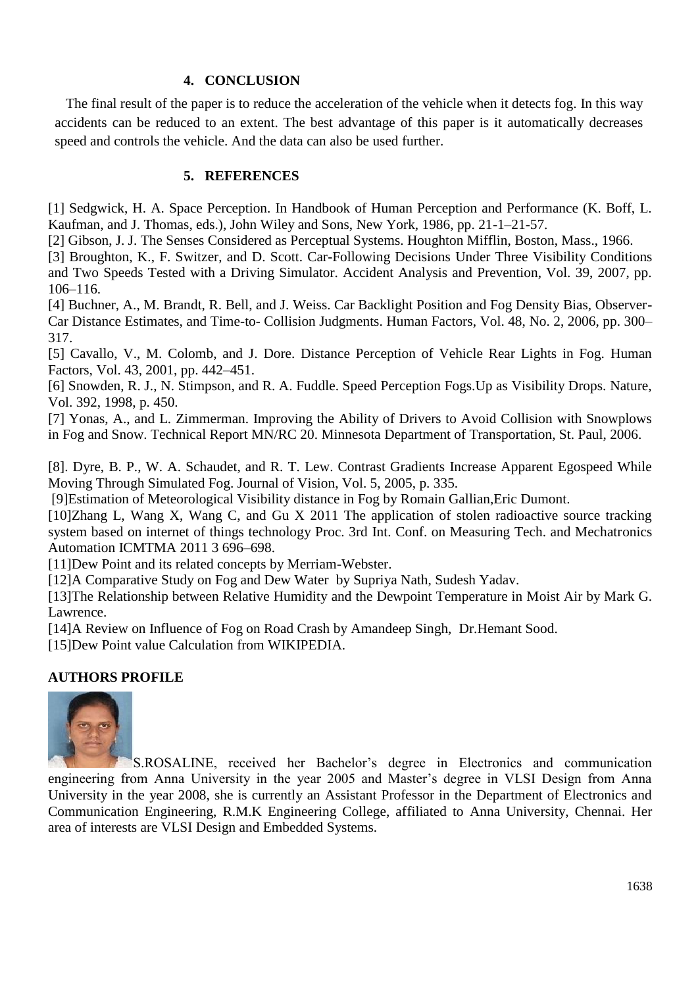## **4. CONCLUSION**

The final result of the paper is to reduce the acceleration of the vehicle when it detects fog. In this way accidents can be reduced to an extent. The best advantage of this paper is it automatically decreases speed and controls the vehicle. And the data can also be used further.

## **5. REFERENCES**

[1] Sedgwick, H. A. Space Perception. In Handbook of Human Perception and Performance (K. Boff, L. Kaufman, and J. Thomas, eds.), John Wiley and Sons, New York, 1986, pp. 21-1–21-57.

[2] Gibson, J. J. The Senses Considered as Perceptual Systems. Houghton Mifflin, Boston, Mass., 1966.

[3] Broughton, K., F. Switzer, and D. Scott. Car-Following Decisions Under Three Visibility Conditions and Two Speeds Tested with a Driving Simulator. Accident Analysis and Prevention, Vol. 39, 2007, pp. 106–116.

[4] Buchner, A., M. Brandt, R. Bell, and J. Weiss. Car Backlight Position and Fog Density Bias, Observer-Car Distance Estimates, and Time-to- Collision Judgments. Human Factors, Vol. 48, No. 2, 2006, pp. 300– 317.

[5] Cavallo, V., M. Colomb, and J. Dore. Distance Perception of Vehicle Rear Lights in Fog. Human Factors, Vol. 43, 2001, pp. 442–451.

[6] Snowden, R. J., N. Stimpson, and R. A. Fuddle. Speed Perception Fogs.Up as Visibility Drops. Nature, Vol. 392, 1998, p. 450.

[7] Yonas, A., and L. Zimmerman. Improving the Ability of Drivers to Avoid Collision with Snowplows in Fog and Snow. Technical Report MN/RC 20. Minnesota Department of Transportation, St. Paul, 2006.

[8]. Dyre, B. P., W. A. Schaudet, and R. T. Lew. Contrast Gradients Increase Apparent Egospeed While Moving Through Simulated Fog. Journal of Vision, Vol. 5, 2005, p. 335.

[9]Estimation of Meteorological Visibility distance in Fog by Romain Gallian,Eric Dumont.

[10]Zhang L, Wang X, Wang C, and Gu X 2011 The application of stolen radioactive source tracking system based on internet of things technology Proc. 3rd Int. Conf. on Measuring Tech. and Mechatronics Automation ICMTMA 2011 3 696–698.

[11]Dew Point and its related concepts by Merriam-Webster.

[12]A Comparative Study on Fog and Dew Water by Supriya Nath, Sudesh Yadav.

[13]The Relationship between Relative Humidity and the Dewpoint Temperature in Moist Air by Mark G. Lawrence.

[14]A Review on Influence of Fog on Road Crash by Amandeep Singh, Dr.Hemant Sood.

[15]Dew Point value Calculation from WIKIPEDIA.

# **AUTHORS PROFILE**



S.ROSALINE, received her Bachelor's degree in Electronics and communication engineering from Anna University in the year 2005 and Master's degree in VLSI Design from Anna University in the year 2008, she is currently an Assistant Professor in the Department of Electronics and Communication Engineering, R.M.K Engineering College, affiliated to Anna University, Chennai. Her area of interests are VLSI Design and Embedded Systems.